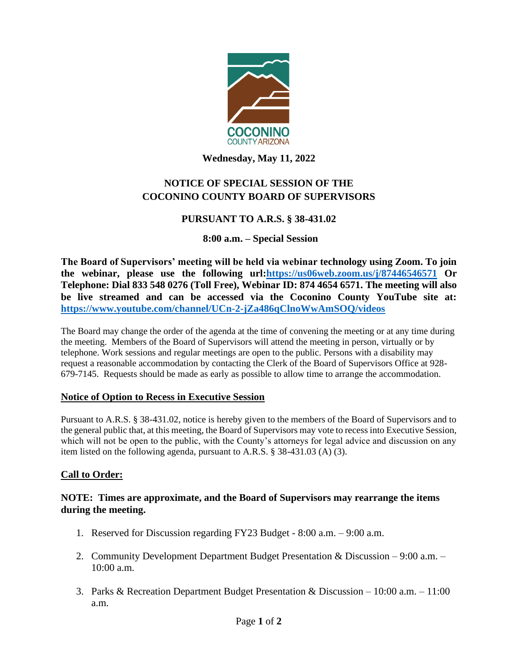

### **Wednesday, May 11, 2022**

# **NOTICE OF SPECIAL SESSION OF THE COCONINO COUNTY BOARD OF SUPERVISORS**

## **PURSUANT TO A.R.S. § 38-431.02**

### **8:00 a.m. – Special Session**

**The Board of Supervisors' meeting will be held via webinar technology using Zoom. To join the webinar, please use the following url[:https://us06web.zoom.us/j/87446546571](https://us06web.zoom.us/j/87446546571) Or Telephone: Dial 833 548 0276 (Toll Free), Webinar ID: 874 4654 6571. The meeting will also be live streamed and can be accessed via the Coconino County YouTube site at: <https://www.youtube.com/channel/UCn-2-jZa486qClnoWwAmSOQ/videos>**

The Board may change the order of the agenda at the time of convening the meeting or at any time during the meeting. Members of the Board of Supervisors will attend the meeting in person, virtually or by telephone. Work sessions and regular meetings are open to the public. Persons with a disability may request a reasonable accommodation by contacting the Clerk of the Board of Supervisors Office at 928- 679-7145. Requests should be made as early as possible to allow time to arrange the accommodation.

#### **Notice of Option to Recess in Executive Session**

Pursuant to A.R.S. § 38-431.02, notice is hereby given to the members of the Board of Supervisors and to the general public that, at this meeting, the Board of Supervisors may vote to recess into Executive Session, which will not be open to the public, with the County's attorneys for legal advice and discussion on any item listed on the following agenda, pursuant to A.R.S. § 38-431.03 (A) (3).

## **Call to Order:**

### **NOTE: Times are approximate, and the Board of Supervisors may rearrange the items during the meeting.**

- 1. Reserved for Discussion regarding FY23 Budget 8:00 a.m. 9:00 a.m.
- 2. Community Development Department Budget Presentation & Discussion 9:00 a.m. 10:00 a.m.
- 3. Parks & Recreation Department Budget Presentation & Discussion 10:00 a.m. 11:00 a.m.